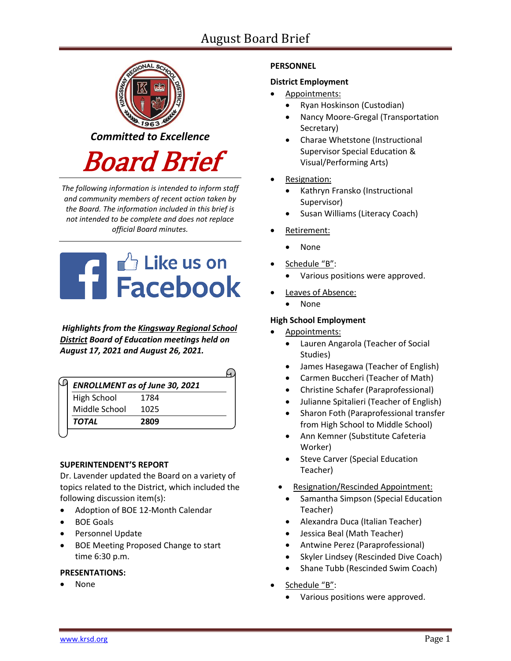# August Board Brief



*The following information is intended to inform staff and community members of recent action taken by the Board. The information included in this brief is not intended to be complete and does not replace official Board minutes.*



*Highlights from the [Kingsway Regional School](https://www.facebook.com/KingswayDragons)  [District](https://www.facebook.com/KingswayDragons) Board of Education meetings held on August 17, 2021 and August 26, 2021.*

|                    | <b>ENROLLMENT as of June 30, 2021</b> |
|--------------------|---------------------------------------|
| <b>High School</b> | 1784                                  |
| Middle School      | 1025                                  |
| <b>TOTAL</b>       | 2809                                  |
|                    |                                       |

## **SUPERINTENDENT'S REPORT**

Dr. Lavender updated the Board on a variety of topics related to the District, which included the following discussion item(s):

- Adoption of BOE 12-Month Calendar
- BOE Goals
- **•** Personnel Update
- BOE Meeting Proposed Change to start time 6:30 p.m.

## **PRESENTATIONS:**

None

## **PERSONNEL**

## **District Employment**

- Appointments:
	- Ryan Hoskinson (Custodian)
	- Nancy Moore-Gregal (Transportation Secretary)
	- Charae Whetstone (Instructional Supervisor Special Education & Visual/Performing Arts)
- Resignation:
	- Kathryn Fransko (Instructional Supervisor)
	- Susan Williams (Literacy Coach)
- Retirement:
	- None
- Schedule "B":
	- Various positions were approved.
- Leaves of Absence:
	- None

## **High School Employment**

- Appointments:
	- Lauren Angarola (Teacher of Social Studies)
	- James Hasegawa (Teacher of English)
	- Carmen Buccheri (Teacher of Math)
	- Christine Schafer (Paraprofessional)
	- Julianne Spitalieri (Teacher of English)
	- Sharon Foth (Paraprofessional transfer from High School to Middle School)
	- Ann Kemner (Substitute Cafeteria Worker)
	- Steve Carver (Special Education Teacher)
	- Resignation/Rescinded Appointment:
		- Samantha Simpson (Special Education Teacher)
		- Alexandra Duca (Italian Teacher)
		- Jessica Beal (Math Teacher)
		- Antwine Perez (Paraprofessional)
		- Skyler Lindsey (Rescinded Dive Coach)
		- Shane Tubb (Rescinded Swim Coach)
- Schedule "B":
	- Various positions were approved.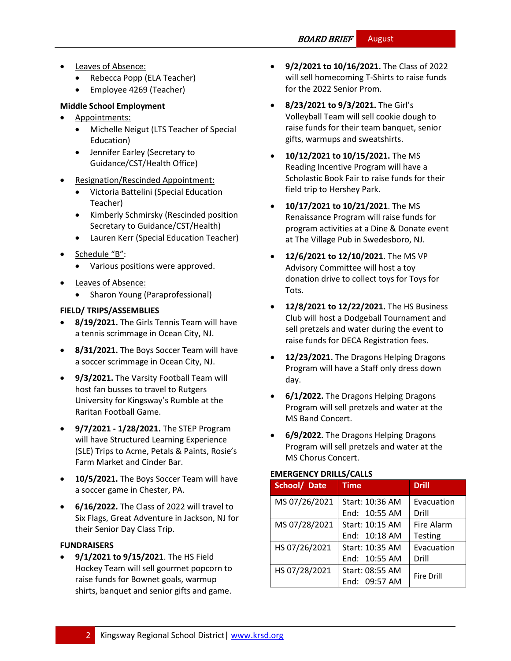# BOARD BRIEF August

- Leaves of Absence:
	- Rebecca Popp (ELA Teacher)
	- Employee 4269 (Teacher)

# **Middle School Employment**

- Appointments:
	- Michelle Neigut (LTS Teacher of Special Education)
	- Jennifer Earley (Secretary to Guidance/CST/Health Office)
- Resignation/Rescinded Appointment:
	- Victoria Battelini (Special Education Teacher)
	- **•** Kimberly Schmirsky (Rescinded position Secretary to Guidance/CST/Health)
	- Lauren Kerr (Special Education Teacher)
- Schedule "B":
	- Various positions were approved.
- Leaves of Absence:
	- Sharon Young (Paraprofessional)

# **FIELD/ TRIPS/ASSEMBLIES**

- **8/19/2021.** The Girls Tennis Team will have a tennis scrimmage in Ocean City, NJ.
- **8/31/2021.** The Boys Soccer Team will have a soccer scrimmage in Ocean City, NJ.
- **9/3/2021.** The Varsity Football Team will host fan busses to travel to Rutgers University for Kingsway's Rumble at the Raritan Football Game.
- **9/7/2021 - 1/28/2021.** The STEP Program will have Structured Learning Experience (SLE) Trips to Acme, Petals & Paints, Rosie's Farm Market and Cinder Bar.
- **10/5/2021.** The Boys Soccer Team will have a soccer game in Chester, PA.
- **6/16/2022.** The Class of 2022 will travel to Six Flags, Great Adventure in Jackson, NJ for their Senior Day Class Trip.

# **FUNDRAISERS**

 **9/1/2021 to 9/15/2021**. The HS Field Hockey Team will sell gourmet popcorn to raise funds for Bownet goals, warmup shirts, banquet and senior gifts and game.

- **9/2/2021 to 10/16/2021.** The Class of 2022 will sell homecoming T-Shirts to raise funds for the 2022 Senior Prom.
- **8/23/2021 to 9/3/2021.** The Girl's Volleyball Team will sell cookie dough to raise funds for their team banquet, senior gifts, warmups and sweatshirts.
- **10/12/2021 to 10/15/2021.** The MS Reading Incentive Program will have a Scholastic Book Fair to raise funds for their field trip to Hershey Park.
- **10/17/2021 to 10/21/2021**. The MS Renaissance Program will raise funds for program activities at a Dine & Donate event at The Village Pub in Swedesboro, NJ.
- **12/6/2021 to 12/10/2021.** The MS VP Advisory Committee will host a toy donation drive to collect toys for Toys for Tots.
- **12/8/2021 to 12/22/2021.** The HS Business Club will host a Dodgeball Tournament and sell pretzels and water during the event to raise funds for DECA Registration fees.
- **12/23/2021.** The Dragons Helping Dragons Program will have a Staff only dress down day.
- **6/1/2022.** The Dragons Helping Dragons Program will sell pretzels and water at the MS Band Concert.
- **6/9/2022.** The Dragons Helping Dragons Program will sell pretzels and water at the MS Chorus Concert.

# **EMERGENCY DRILLS/CALLS**

| School/ Date  | <b>Time</b>     | <b>Drill</b>      |
|---------------|-----------------|-------------------|
| MS 07/26/2021 | Start: 10:36 AM | Evacuation        |
|               | End: 10:55 AM   | Drill             |
| MS 07/28/2021 | Start: 10:15 AM | Fire Alarm        |
|               | End: 10:18 AM   | <b>Testing</b>    |
| HS 07/26/2021 | Start: 10:35 AM | Evacuation        |
|               | End: 10:55 AM   | Drill             |
| HS 07/28/2021 | Start: 08:55 AM | <b>Fire Drill</b> |
|               | End: 09:57 AM   |                   |